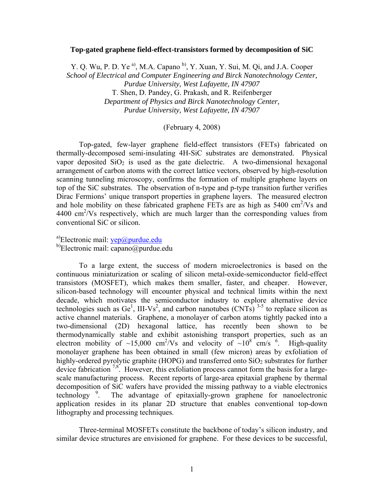## **Top-gated graphene field-effect-transistors formed by decomposition of SiC**

Y. Q. Wu, P. D. Ye<sup>a)</sup>, M.A. Capano<sup>b</sup>, Y. Xuan, Y. Sui, M. Qi, and J.A. Cooper *School of Electrical and Computer Engineering and Birck Nanotechnology Center, Purdue University, West Lafayette, IN 47907*  T. Shen, D. Pandey, G. Prakash, and R. Reifenberger *Department of Physics and Birck Nanotechnology Center, Purdue University, West Lafayette, IN 47907* 

## (February 4, 2008)

Top-gated, few-layer graphene field-effect transistors (FETs) fabricated on thermally-decomposed semi-insulating 4H-SiC substrates are demonstrated. Physical vapor deposited  $SiO<sub>2</sub>$  is used as the gate dielectric. A two-dimensional hexagonal arrangement of carbon atoms with the correct lattice vectors, observed by high-resolution scanning tunneling microscopy, confirms the formation of multiple graphene layers on top of the SiC substrates. The observation of n-type and p-type transition further verifies Dirac Fermions' unique transport properties in graphene layers. The measured electron and hole mobility on these fabricated graphene FETs are as high as  $5400 \text{ cm}^2/\text{Vs}$  and  $4400 \text{ cm}^2/\text{Vs}$  respectively, which are much larger than the corresponding values from conventional SiC or silicon.

<sup>a)</sup>Electronic mail:  $vep@purdue.edu$  $b)$ Electronic mail: capano@purdue.edu

To a large extent, the success of modern microelectronics is based on the continuous miniaturization or scaling of silicon metal-oxide-semiconductor field-effect transistors (MOSFET), which makes them smaller, faster, and cheaper. However, silicon-based technology will encounter physical and technical limits within the next decade, which motivates the semiconductor industry to explore alternative device technologies such as  $Ge^1$ , III-Vs<sup>2</sup>, and carbon nanotubes (CNTs)  $3-5$  to replace silicon as active channel materials. Graphene, a monolayer of carbon atoms tightly packed into a two-dimensional (2D) hexagonal lattice, has recently been shown to be thermodynamically stable and exhibit astonishing transport properties, such as an electron mobility of ~15,000 cm<sup>2</sup>/Vs and velocity of ~10<sup>8</sup> cm/s  $\frac{6}{100}$ . High-quality monolayer graphene has been obtained in small (few micron) areas by exfoliation of highly-ordered pyrolytic graphite (HOPG) and transferred onto  $SiO<sub>2</sub>$  substrates for further device fabrication  $7.8$ . However, this exfoliation process cannot form the basis for a largescale manufacturing process. Recent reports of large-area epitaxial graphene by thermal decomposition of SiC wafers have provided the missing pathway to a viable electronics technology <sup>9</sup> . The advantage of epitaxially-grown graphene for nanoelectronic application resides in its planar 2D structure that enables conventional top-down lithography and processing techniques.

Three-terminal MOSFETs constitute the backbone of today's silicon industry, and similar device structures are envisioned for graphene. For these devices to be successful,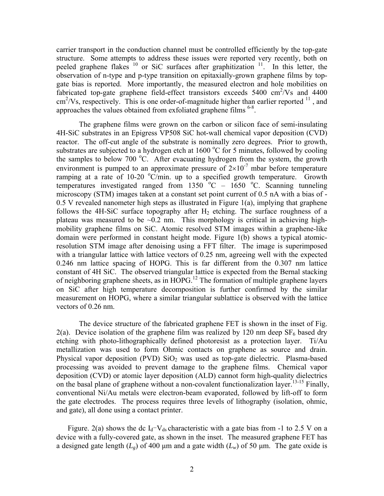carrier transport in the conduction channel must be controlled efficiently by the top-gate structure. Some attempts to address these issues were reported very recently, both on peeled graphene flakes  $10$  or SiC surfaces after graphitization  $11$ . In this letter, the observation of n-type and p-type transition on epitaxially-grown graphene films by topgate bias is reported. More importantly, the measured electron and hole mobilities on fabricated top-gate graphene field-effect transistors exceeds  $5400 \text{ cm}^2/\text{Vs}$  and  $4400 \text{ s}$  $\text{cm}^2/\text{Vs}$ , respectively. This is one order-of-magnitude higher than earlier reported  $^{11}$ , and approaches the values obtained from exfoliated graphene films  $6-8$ .

The graphene films were grown on the carbon or silicon face of semi-insulating 4H-SiC substrates in an Epigress VP508 SiC hot-wall chemical vapor deposition (CVD) reactor. The off-cut angle of the substrate is nominally zero degrees. Prior to growth, substrates are subjected to a hydrogen etch at  $1600\,^{\circ}\text{C}$  for 5 minutes, followed by cooling the samples to below 700  $^{\circ}$ C. After evacuating hydrogen from the system, the growth environment is pumped to an approximate pressure of  $2\times10^{-7}$  mbar before temperature ramping at a rate of 10-20  $\degree$ C/min. up to a specified growth temperature. Growth temperatures investigated ranged from 1350  $^{\circ}$ C – 1650  $^{\circ}$ C. Scanning tunneling microscopy (STM) images taken at a constant set point current of 0.5 nA with a bias of -  $0.5$  V revealed nanometer high steps as illustrated in Figure 1(a), implying that graphene follows the 4H-SiC surface topography after  $H_2$  etching. The surface roughness of a plateau was measured to be  $\sim 0.2$  nm. This morphology is critical in achieving highmobility graphene films on SiC. Atomic resolved STM images within a graphene-like domain were performed in constant height mode. Figure 1(b) shows a typical atomicresolution STM image after denoising using a FFT filter. The image is superimposed with a triangular lattice with lattice vectors of 0.25 nm, agreeing well with the expected 0.246 nm lattice spacing of HOPG. This is far different from the 0.307 nm lattice constant of 4H SiC. The observed triangular lattice is expected from the Bernal stacking of neighboring graphene sheets, as in HOPG.<sup>12</sup> The formation of multiple graphene layers on SiC after high temperature decomposition is further confirmed by the similar measurement on HOPG, where a similar triangular sublattice is observed with the lattice vectors of 0.26 nm.

The device structure of the fabricated graphene FET is shown in the inset of Fig. 2(a). Device isolation of the graphene film was realized by 120 nm deep  $SF_6$  based dry etching with photo-lithographically defined photoresist as a protection layer. Ti/Au metallization was used to form Ohmic contacts on graphene as source and drain. Physical vapor deposition (PVD)  $SiO<sub>2</sub>$  was used as top-gate dielectric. Plasma-based processing was avoided to prevent damage to the graphene films. Chemical vapor deposition (CVD) or atomic layer deposition (ALD) cannot form high-quality dielectrics on the basal plane of graphene without a non-covalent functionalization layer.<sup>13-15</sup> Finally, conventional Ni/Au metals were electron-beam evaporated, followed by lift-off to form the gate electrodes. The process requires three levels of lithography (isolation, ohmic, and gate), all done using a contact printer.

Figure. 2(a) shows the dc  $I_d$ - $V_{ds}$  characteristic with a gate bias from -1 to 2.5 V on a device with a fully-covered gate, as shown in the inset. The measured graphene FET has a designed gate length  $(L<sub>e</sub>)$  of 400 µm and a gate width  $(L<sub>w</sub>)$  of 50 µm. The gate oxide is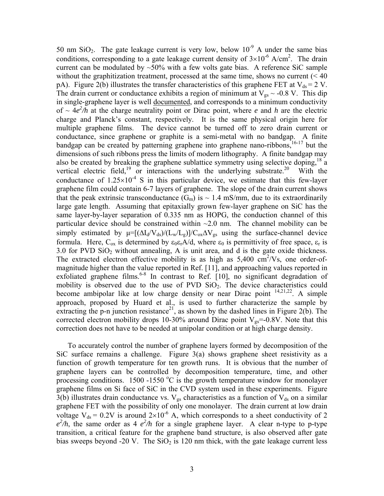50 nm SiO<sub>2</sub>. The gate leakage current is very low, below  $10^{-9}$  A under the same bias conditions, corresponding to a gate leakage current density of  $3\times10^{-6}$  A/cm<sup>2</sup>. The drain current can be modulated by  $\sim$ 50% with a few volts gate bias. A reference SiC sample without the graphitization treatment, processed at the same time, shows no current  $(< 40$ pA). Figure 2(b) illustrates the transfer characteristics of this graphene FET at  $V_{ds} = 2 V$ . The drain current or conductance exhibits a region of minimum at  $V_{gs} \sim -0.8$  V. This dip in single-graphene layer is well documented, and corresponds to a minimum conductivity of  $\sim$   $4e^{2}/h$  at the charge neutrality point or Dirac point, where *e* and *h* are the electric charge and Planck's constant, respectively. It is the same physical origin here for multiple graphene films. The device cannot be turned off to zero drain current or conductance, since graphene or graphite is a semi-metal with no bandgap. A finite bandgap can be created by patterning graphene into graphene nano-ribbons,  $16-17$  but the dimensions of such ribbons press the limits of modern lithography. A finite bandgap may also be created by breaking the graphene sublattice symmetry using selective doping,  $18$  a vertical electric field,<sup>19</sup> or interactions with the underlying substrate.<sup>20</sup> With the conductance of  $1.25\times10^{-4}$  S in this particular device, we estimate that this few-layer graphene film could contain 6-7 layers of graphene. The slope of the drain current shows that the peak extrinsic transconductance  $(G_m)$  is  $\sim 1.4$  mS/mm, due to its extraordinarily large gate length. Assuming that epitaxially grown few-layer graphene on SiC has the same layer-by-layer separation of 0.335 nm as HOPG, the conduction channel of this particular device should be constrained within  $\sim$ 2.0 nm. The channel mobility can be simply estimated by  $\mu = [(\Delta I_d/V_{ds})/(L_w/L_g)]/C_{ox}\Delta V_{gs}$  using the surface-channel device formula. Here,  $C_{ox}$  is determined by  $\varepsilon_0 \varepsilon_r A/d$ , where  $\varepsilon_0$  is permittivity of free space,  $\varepsilon_r$  is 3.0 for PVD  $SiO<sub>2</sub>$  without annealing, A is unit area, and d is the gate oxide thickness. The extracted electron effective mobility is as high as  $5,400 \text{ cm}^2/\text{Vs}$ , one order-ofmagnitude higher than the value reported in Ref. [11], and approaching values reported in exfoliated graphene films.<sup>6-8</sup> In contrast to Ref.  $[10]$ , no significant degradation of mobility is observed due to the use of  $PVD$   $SiO<sub>2</sub>$ . The device characteristics could become ambipolar like at low charge density or near Dirac point  $14,21,22$ . A simple approach, proposed by Huard et al., is used to further characterize the sample by extracting the p-n junction resistance<sup>21</sup>, as shown by the dashed lines in Figure 2(b). The corrected electron mobility drops 10-30% around Dirac point  $V_{gs} = -0.8V$ . Note that this correction does not have to be needed at unipolar condition or at high charge density.

To accurately control the number of graphene layers formed by decomposition of the SiC surface remains a challenge. Figure 3(a) shows graphene sheet resistivity as a function of growth temperature for ten growth runs. It is obvious that the number of graphene layers can be controlled by decomposition temperature, time, and other processing conditions. 1500 -1550  $\mathrm{^{\circ}C}$  is the growth temperature window for monolayer graphene films on Si face of SiC in the CVD system used in these experiments. Figure 3(b) illustrates drain conductance vs.  $V_{gs}$  characteristics as a function of  $V_{ds}$  on a similar graphene FET with the possibility of only one monolayer. The drain current at low drain voltage  $V_{ds}$  = 0.2V is around 2×10<sup>-6</sup> A, which corresponds to a sheet conductivity of 2  $e^2/h$ , the same order as 4  $e^2/h$  for a single graphene layer. A clear n-type to p-type transition, a critical feature for the graphene band structure, is also observed after gate bias sweeps beyond -20 V. The  $SiO<sub>2</sub>$  is 120 nm thick, with the gate leakage current less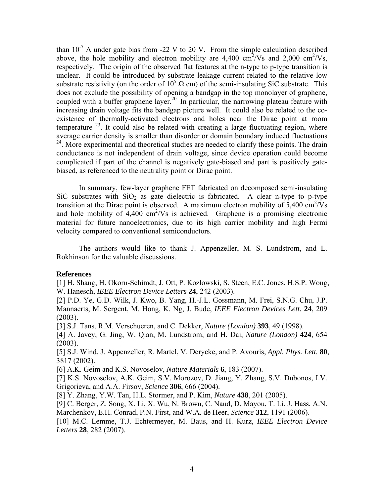than  $10^{-7}$  A under gate bias from -22 V to 20 V. From the simple calculation described above, the hole mobility and electron mobility are  $4,400 \text{ cm}^2/\text{Vs}$  and  $2,000 \text{ cm}^2/\text{Vs}$ , respectively. The origin of the observed flat features at the n-type to p-type transition is unclear. It could be introduced by substrate leakage current related to the relative low substrate resistivity (on the order of  $10^5 \Omega$  cm) of the semi-insulating SiC substrate. This does not exclude the possibility of opening a bandgap in the top monolayer of graphene, coupled with a buffer graphene layer.<sup>20</sup> In particular, the narrowing plateau feature with increasing drain voltage fits the bandgap picture well. It could also be related to the coexistence of thermally-activated electrons and holes near the Dirac point at room temperature  $23$ . It could also be related with creating a large fluctuating region, where average carrier density is smaller than disorder or domain boundary induced fluctuations <sup>24</sup>. More experimental and theoretical studies are needed to clarify these points. The drain conductance is not independent of drain voltage, since device operation could become complicated if part of the channel is negatively gate-biased and part is positively gatebiased, as referenced to the neutrality point or Dirac point.

In summary, few-layer graphene FET fabricated on decomposed semi-insulating SiC substrates with  $SiO<sub>2</sub>$  as gate dielectric is fabricated. A clear n-type to p-type transition at the Dirac point is observed. A maximum electron mobility of  $\frac{5,400 \text{ cm}^2}{\text{N}}$ s and hole mobility of  $4,400 \text{ cm}^2/\text{Vs}$  is achieved. Graphene is a promising electronic material for future nanoelectronics, due to its high carrier mobility and high Fermi velocity compared to conventional semiconductors.

The authors would like to thank J. Appenzeller, M. S. Lundstrom, and L. Rokhinson for the valuable discussions.

## **References**

[1] H. Shang, H. Okorn-Schimdt, J. Ott, P. Kozlowski, S. Steen, E.C. Jones, H.S.P. Wong, W. Hanesch, *IEEE Electron Device Letters* **24**, 242 (2003).

[2] P.D. Ye, G.D. Wilk, J. Kwo, B. Yang, H.-J.L. Gossmann, M. Frei, S.N.G. Chu, J.P. Mannaerts, M. Sergent, M. Hong, K. Ng, J. Bude, *IEEE Electron Devices Lett.* **24**, 209 (2003).

[3] S.J. Tans, R.M. Verschueren, and C. Dekker, *Nature (London)* **393**, 49 (1998).

[4] A. Javey, G. Jing, W. Qian, M. Lundstrom, and H. Dai, *Nature (London)* **424**, 654 (2003).

[5] S.J. Wind, J. Appenzeller, R. Martel, V. Derycke, and P. Avouris, *Appl. Phys. Lett.* **80**, 3817 (2002).

[6] A.K. Geim and K.S. Novoselov, *Nature Materials* **6**, 183 (2007).

[7] K.S. Novoselov, A.K. Geim, S.V. Morozov, D. Jiang, Y. Zhang, S.V. Dubonos, I.V. Grigorieva, and A.A. Firsov, *Science* **306**, 666 (2004).

[8] Y. Zhang, Y.W. Tan, H.L. Stormer, and P. Kim, *Nature* **438**, 201 (2005).

[9] C. Berger, Z. Song, X. Li, X. Wu, N. Brown, C. Naud, D. Mayou, T. Li, J. Hass, A.N.

Marchenkov, E.H. Conrad, P.N. First, and W.A. de Heer, *Science* **312**, 1191 (2006).

[10] M.C. Lemme, T.J. Echtermeyer, M. Baus, and H. Kurz, *IEEE Electron Device Letters* **28**, 282 (2007).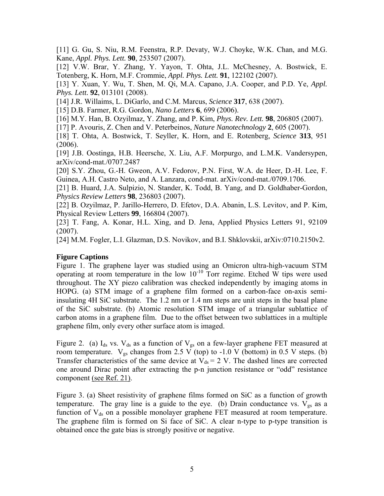[11] G. Gu, S. Niu, R.M. Feenstra, R.P. Devaty, W.J. Choyke, W.K. Chan, and M.G. Kane, *Appl. Phys. Lett.* **90**, 253507 (2007).

[12] V.W. Brar, Y. Zhang, Y. Yayon, T. Ohta, J.L. McChesney, A. Bostwick, E. Totenberg, K. Horn, M.F. Crommie, *Appl. Phys. Lett.* **91**, 122102 (2007).

[13] Y. Xuan, Y. Wu, T. Shen, M. Qi, M.A. Capano, J.A. Cooper, and P.D. Ye, *Appl. Phys. Lett.* **92**, 013101 (2008).

[14] J.R. Willaims, L. DiGarlo, and C.M. Marcus, *Science* **317**, 638 (2007).

[15] D.B. Farmer, R.G. Gordon, *Nano Letters* **6**, 699 (2006).

[16] M.Y. Han, B. Ozyilmaz, Y. Zhang, and P. Kim, *Phys. Rev. Lett.* **98**, 206805 (2007).

[17] P. Avouris, Z. Chen and V. Peterbeinos, *Nature Nanotechnology* **2**, 605 (2007).

[18] T. Ohta, A. Bostwick, T. Seyller, K. Horn, and E. Rotenberg, *Science* **313**, 951 (2006).

[19] J.B. Oostinga, H.B. Heersche, X. Liu, A.F. Morpurgo, and L.M.K. Vandersypen, arXiv/cond-mat./0707.2487

[20] S.Y. Zhou, G.-H. Gweon, A.V. Fedorov, P.N. First, W.A. de Heer, D.-H. Lee, F. Guinea, A.H. Castro Neto, and A. Lanzara, cond-mat. arXiv/cond-mat./0709.1706.

[21] B. Huard, J.A. Sulpizio, N. Stander, K. Todd, B. Yang, and D. Goldhaber-Gordon, *Physics Review Letters* **98**, 236803 (2007).

[22] B. Ozyilmaz, P. Jarillo-Herrero, D. Efetov, D.A. Abanin, L.S. Levitov, and P. Kim, Physical Review Letters **99**, 166804 (2007).

[23] T. Fang, A. Konar, H.L. Xing, and D. Jena, Applied Physics Letters 91, 92109  $(2007)$ .

[24] M.M. Fogler, L.I. Glazman, D.S. Novikov, and B.I. Shklovskii, arXiv:0710.2150v2.

## **Figure Captions**

Figure 1. The graphene layer was studied using an Omicron ultra-high-vacuum STM operating at room temperature in the low  $10^{-10}$  Torr regime. Etched W tips were used throughout. The XY piezo calibration was checked independently by imaging atoms in HOPG. (a) STM image of a graphene film formed on a carbon-face on-axis semiinsulating 4H SiC substrate. The 1.2 nm or 1.4 nm steps are unit steps in the basal plane of the SiC substrate. (b) Atomic resolution STM image of a triangular sublattice of carbon atoms in a graphene film. Due to the offset between two sublattices in a multiple graphene film, only every other surface atom is imaged.

Figure 2. (a)  $I_{ds}$  vs.  $V_{ds}$  as a function of  $V_{gs}$  on a few-layer graphene FET measured at room temperature.  $V_{gs}$  changes from 2.5 V (top) to -1.0 V (bottom) in 0.5 V steps. (b) Transfer characteristics of the same device at  $V_{ds} = 2$  V. The dashed lines are corrected one around Dirac point after extracting the p-n junction resistance or "odd" resistance component (see Ref. 21).

Figure 3. (a) Sheet resistivity of graphene films formed on SiC as a function of growth temperature. The gray line is a guide to the eye. (b) Drain conductance vs.  $V_{gs}$  as a function of  $V_{ds}$  on a possible monolayer graphene FET measured at room temperature. The graphene film is formed on Si face of SiC. A clear n-type to p-type transition is obtained once the gate bias is strongly positive or negative.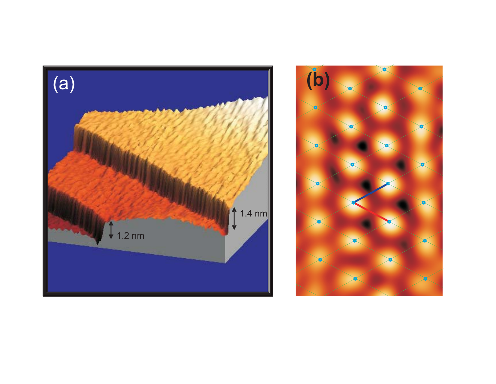

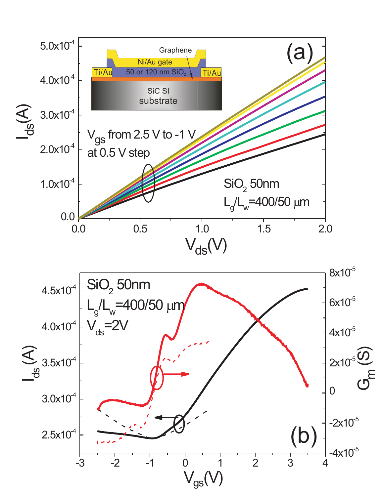